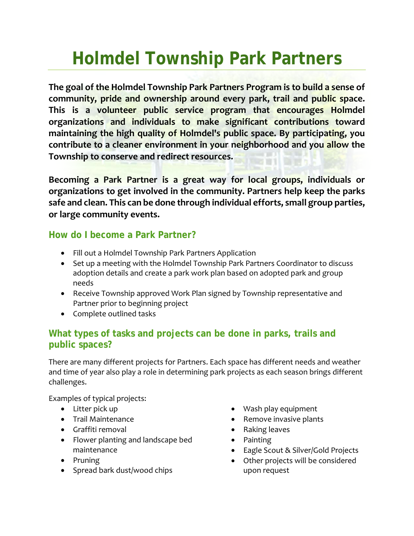# **Holmdel Township Park Partners**

**The goal of the Holmdel Township Park Partners Program is to build a sense of community, pride and ownership around every park, trail and public space. This is a volunteer public service program that encourages Holmdel organizations and individuals to make significant contributions toward maintaining the high quality of Holmdel's public space. By participating, you contribute to a cleaner environment in your neighborhood and you allow the Township to conserve and redirect resources.**

**Becoming a Park Partner is a great way for local groups, individuals or organizations to get involved in the community. Partners help keep the parks safe and clean. This can be done through individual efforts, small group parties, or large community events.**

#### **How do I become a Park Partner?**

- Fill out a Holmdel Township Park Partners Application
- Set up a meeting with the Holmdel Township Park Partners Coordinator to discuss adoption details and create a park work plan based on adopted park and group needs
- Receive Township approved Work Plan signed by Township representative and Partner prior to beginning project
- Complete outlined tasks

# **What types of tasks and projects can be done in parks, trails and public spaces?**

There are many different projects for Partners. Each space has different needs and weather and time of year also play a role in determining park projects as each season brings different challenges.

Examples of typical projects:

- Litter pick up
- Trail Maintenance
- Graffiti removal
- Flower planting and landscape bed maintenance
- Pruning
- Spread bark dust/wood chips
- Wash play equipment
- Remove invasive plants
- Raking leaves
- Painting
- Eagle Scout & Silver/Gold Projects
- Other projects will be considered upon request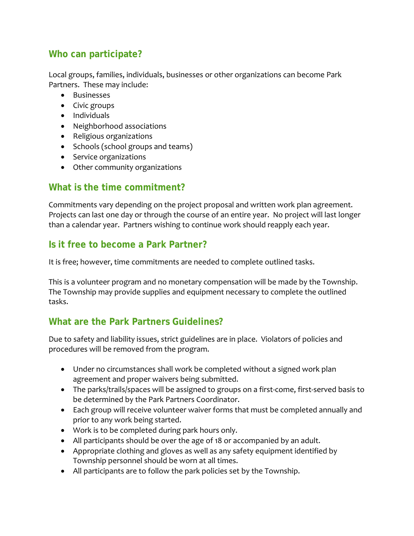# **Who can participate?**

Local groups, families, individuals, businesses or other organizations can become Park Partners. These may include:

- Businesses
- Civic groups
- Individuals
- Neighborhood associations
- Religious organizations
- Schools (school groups and teams)
- Service organizations
- Other community organizations

#### **What is the time commitment?**

Commitments vary depending on the project proposal and written work plan agreement. Projects can last one day or through the course of an entire year. No project will last longer than a calendar year. Partners wishing to continue work should reapply each year.

#### **Is it free to become a Park Partner?**

It is free; however, time commitments are needed to complete outlined tasks.

This is a volunteer program and no monetary compensation will be made by the Township. The Township may provide supplies and equipment necessary to complete the outlined tasks.

# **What are the Park Partners Guidelines?**

Due to safety and liability issues, strict guidelines are in place. Violators of policies and procedures will be removed from the program.

- Under no circumstances shall work be completed without a signed work plan agreement and proper waivers being submitted.
- The parks/trails/spaces will be assigned to groups on a first-come, first-served basis to be determined by the Park Partners Coordinator.
- Each group will receive volunteer waiver forms that must be completed annually and prior to any work being started.
- Work is to be completed during park hours only.
- All participants should be over the age of 18 or accompanied by an adult.
- Appropriate clothing and gloves as well as any safety equipment identified by Township personnel should be worn at all times.
- All participants are to follow the park policies set by the Township.